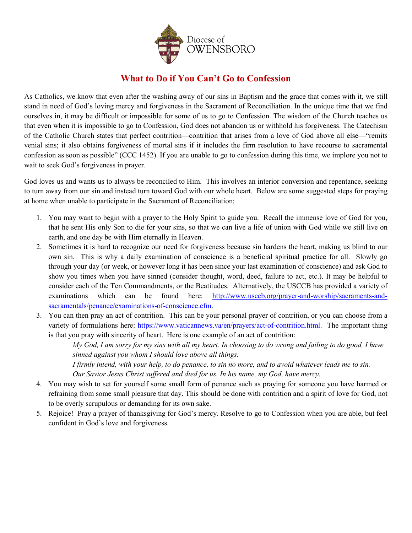

## **What to Do if You Can't Go to Confession**

As Catholics, we know that even after the washing away of our sins in Baptism and the grace that comes with it, we still stand in need of God's loving mercy and forgiveness in the Sacrament of Reconciliation. In the unique time that we find ourselves in, it may be difficult or impossible for some of us to go to Confession. The wisdom of the Church teaches us that even when it is impossible to go to Confession, God does not abandon us or withhold his forgiveness. The Catechism of the Catholic Church states that perfect contrition—contrition that arises from a love of God above all else—"remits venial sins; it also obtains forgiveness of mortal sins if it includes the firm resolution to have recourse to sacramental confession as soon as possible" (CCC 1452). If you are unable to go to confession during this time, we implore you not to wait to seek God's forgiveness in prayer.

God loves us and wants us to always be reconciled to Him. This involves an interior conversion and repentance, seeking to turn away from our sin and instead turn toward God with our whole heart. Below are some suggested steps for praying at home when unable to participate in the Sacrament of Reconciliation:

- 1. You may want to begin with a prayer to the Holy Spirit to guide you. Recall the immense love of God for you, that he sent His only Son to die for your sins, so that we can live a life of union with God while we still live on earth, and one day be with Him eternally in Heaven.
- 2. Sometimes it is hard to recognize our need for forgiveness because sin hardens the heart, making us blind to our own sin. This is why a daily examination of conscience is a beneficial spiritual practice for all. Slowly go through your day (or week, or however long it has been since your last examination of conscience) and ask God to show you times when you have sinned (consider thought, word, deed, failure to act, etc.). It may be helpful to consider each of the Ten Commandments, or the Beatitudes. Alternatively, the USCCB has provided a variety of examinations which can be found here: [http://www.usccb.org/prayer-and-worship/sacraments-and](http://www.usccb.org/prayer-and-worship/sacraments-and-sacramentals/penance/examinations-of-conscience.cfm)[sacramentals/penance/examinations-of-conscience.cfm.](http://www.usccb.org/prayer-and-worship/sacraments-and-sacramentals/penance/examinations-of-conscience.cfm)
- 3. You can then pray an act of contrition. This can be your personal prayer of contrition, or you can choose from a variety of formulations here: [https://www.vaticannews.va/en/prayers/act-of-contrition.html.](https://www.vaticannews.va/en/prayers/act-of-contrition.html) The important thing is that you pray with sincerity of heart. Here is one example of an act of contrition:

*My God, I am sorry for my sins with all my heart. In choosing to do wrong and failing to do good, I have sinned against you whom I should love above all things.* 

*I firmly intend, with your help, to do penance, to sin no more, and to avoid whatever leads me to sin. Our Savior Jesus Christ suffered and died for us. In his name, my God, have mercy.*

- 4. You may wish to set for yourself some small form of penance such as praying for someone you have harmed or refraining from some small pleasure that day. This should be done with contrition and a spirit of love for God, not to be overly scrupulous or demanding for its own sake.
- 5. Rejoice! Pray a prayer of thanksgiving for God's mercy. Resolve to go to Confession when you are able, but feel confident in God's love and forgiveness.